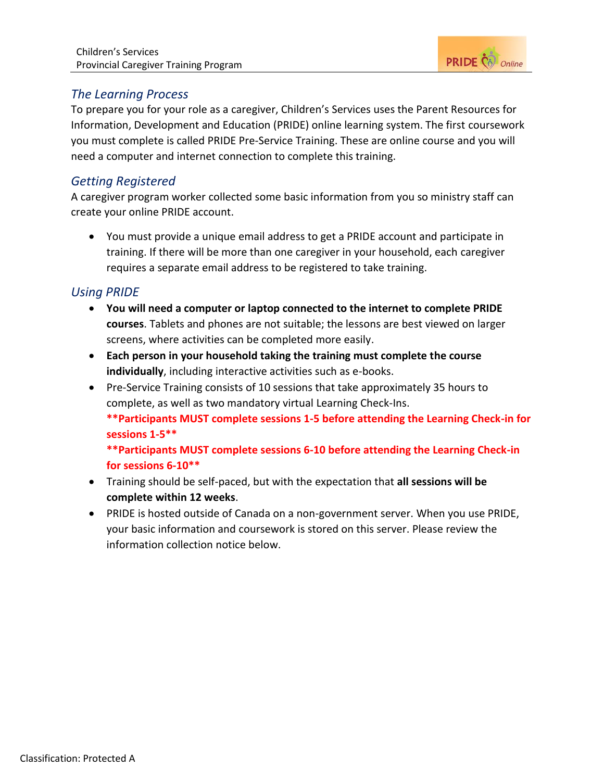

# *The Learning Process*

To prepare you for your role as a caregiver, Children's Services uses the Parent Resources for Information, Development and Education (PRIDE) online learning system. The first coursework you must complete is called PRIDE Pre-Service Training. These are online course and you will need a computer and internet connection to complete this training.

## *Getting Registered*

A caregiver program worker collected some basic information from you so ministry staff can create your online PRIDE account.

 You must provide a unique email address to get a PRIDE account and participate in training. If there will be more than one caregiver in your household, each caregiver requires a separate email address to be registered to take training.

## *Using PRIDE*

- **You will need a computer or laptop connected to the internet to complete PRIDE courses**. Tablets and phones are not suitable; the lessons are best viewed on larger screens, where activities can be completed more easily.
- **Each person in your household taking the training must complete the course individually**, including interactive activities such as e-books.
- Pre-Service Training consists of 10 sessions that take approximately 35 hours to complete, as well as two mandatory virtual Learning Check-Ins.

**\*\*Participants MUST complete sessions 1-5 before attending the Learning Check-in for sessions 1-5\*\***

**\*\*Participants MUST complete sessions 6-10 before attending the Learning Check-in for sessions 6-10\*\***

- Training should be self-paced, but with the expectation that **all sessions will be complete within 12 weeks**.
- PRIDE is hosted outside of Canada on a non-government server. When you use PRIDE, your basic information and coursework is stored on this server. Please review the information collection notice below.